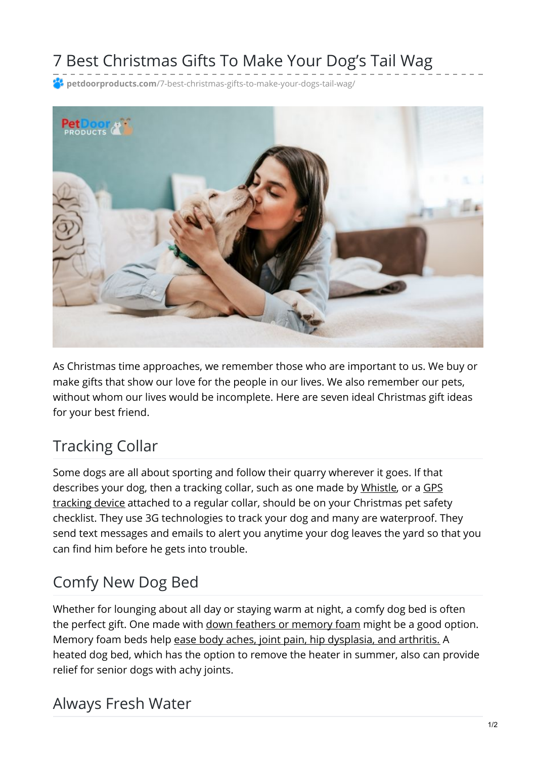# 7 Best Christmas Gifts To Make Your Dog's Tail Wag

**petdoorproducts.com**[/7-best-christmas-gifts-to-make-your-dogs-tail-wag/](https://petdoorproducts.com/7-best-christmas-gifts-to-make-your-dogs-tail-wag/)



As Christmas time approaches, we remember those who are important to us. We buy or make gifts that show our love for the people in our lives. We also remember our pets, without whom our lives would be incomplete. Here are seven ideal Christmas gift ideas for your best friend.

# Tracking Collar

Some dogs are all about sporting and follow their quarry wherever it goes. If that [describes](https://www.amazon.in/Tractive-Plastic-Tracker-Dogs-White/dp/B00F8A1ZBA) your dog, then a tracking collar, such as one made by [Whistle](https://www.whistle.com/), or a GPS tracking device attached to a regular collar, should be on your Christmas pet safety checklist. They use 3G technologies to track your dog and many are waterproof. They send text messages and emails to alert you anytime your dog leaves the yard so that you can find him before he gets into trouble.

## Comfy New Dog Bed

Whether for lounging about all day or staying warm at night, a comfy dog bed is often the perfect gift. One made with down feathers or [memory](https://www.amazon.com/Pet-Products-Feather-Top-Ortho-Chocolate/dp/B00JHK3CCM) foam might be a good option. Memory foam beds help ease body aches, joint pain, hip [dysplasia,](https://www.inthecompanyofdogs.com/itemdy00.aspx?ID=&T1=D12409+CHC+S&cid=17) and arthritis. A heated dog bed, which has the option to remove the heater in summer, also can provide relief for senior dogs with achy joints.

#### Always Fresh Water